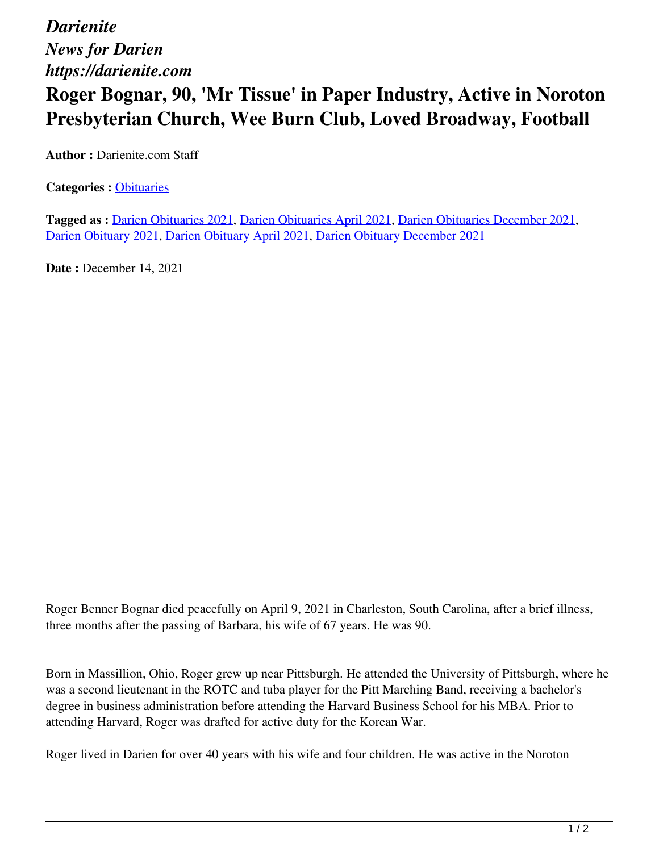*Darienite News for Darien https://darienite.com*

## **Roger Bognar, 90, 'Mr Tissue' in Paper Industry, Active in Noroton Presbyterian Church, Wee Burn Club, Loved Broadway, Football**

**Author :** Darienite.com Staff

**Categories :** [Obituaries](https://darienite.com/category/obituaries)

**Tagged as :** Darien Obituaries 2021, Darien Obituaries April 2021, Darien Obituaries December 2021, Darien Obituary 2021, Darien Obituary April 2021, Darien Obituary December 2021

**Date : December 14, 2021** 

Roger Benner Bognar died peacefully on April 9, 2021 in Charleston, South Carolina, after a brief illness, three months after the passing of Barbara, his wife of 67 years. He was 90.

Born in Massillion, Ohio, Roger grew up near Pittsburgh. He attended the University of Pittsburgh, where he was a second lieutenant in the ROTC and tuba player for the Pitt Marching Band, receiving a bachelor's degree in business administration before attending the Harvard Business School for his MBA. Prior to attending Harvard, Roger was drafted for active duty for the Korean War.

Roger lived in Darien for over 40 years with his wife and four children. He was active in the Noroton